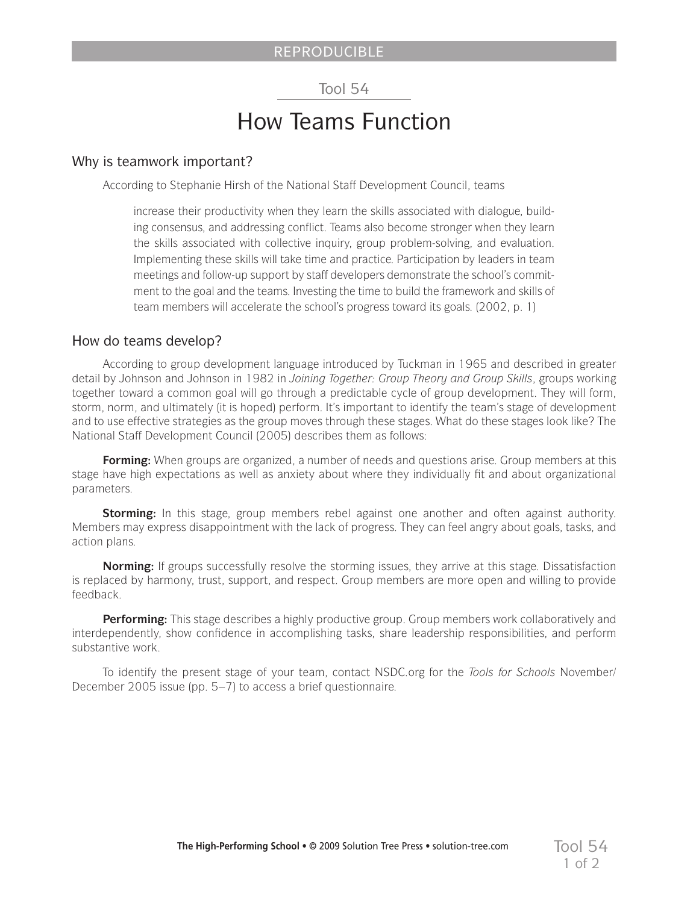## Tool 54

# How Teams Function

#### Why is teamwork important?

According to Stephanie Hirsh of the National Staff Development Council, teams

increase their productivity when they learn the skills associated with dialogue, building consensus, and addressing conflict. Teams also become stronger when they learn the skills associated with collective inquiry, group problem-solving, and evaluation. Implementing these skills will take time and practice. Participation by leaders in team meetings and follow-up support by staff developers demonstrate the school's commitment to the goal and the teams. Investing the time to build the framework and skills of team members will accelerate the school's progress toward its goals. (2002, p. 1)

#### How do teams develop?

According to group development language introduced by Tuckman in 1965 and described in greater detail by Johnson and Johnson in 1982 in *Joining Together: Group Theory and Group Skills*, groups working together toward a common goal will go through a predictable cycle of group development. They will form, storm, norm, and ultimately (it is hoped) perform. It's important to identify the team's stage of development and to use effective strategies as the group moves through these stages. What do these stages look like? The National Staff Development Council (2005) describes them as follows:

**Forming:** When groups are organized, a number of needs and questions arise. Group members at this stage have high expectations as well as anxiety about where they individually fit and about organizational parameters.

**Storming:** In this stage, group members rebel against one another and often against authority. Members may express disappointment with the lack of progress. They can feel angry about goals, tasks, and action plans.

**Norming:** If groups successfully resolve the storming issues, they arrive at this stage. Dissatisfaction is replaced by harmony, trust, support, and respect. Group members are more open and willing to provide feedback.

**Performing:** This stage describes a highly productive group. Group members work collaboratively and interdependently, show confidence in accomplishing tasks, share leadership responsibilities, and perform substantive work.

To identify the present stage of your team, contact NSDC.org for the *Tools for Schools* November/ December 2005 issue (pp. 5–7) to access a brief questionnaire.

1 of 2